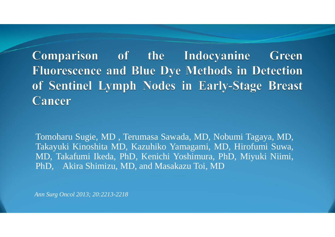Comparison of the Indocyanine Green **Fluorescence and Blue Dye Methods in Detection** of Sentinel Lymph Nodes in Early-Stage Breast **Cancer** 

Tomoharu Sugie, MD , Terumasa Sawada, MD, Nobumi Tagaya, MD, Takayuki Kinoshita MD, Kazuhiko Yamagami, MD, Hirofumi Suwa, MD, Takafumi Ikeda, PhD, Kenichi Yoshimura, PhD, Miyuki Niimi, PhD, Akira Shimizu, MD, and Masakazu Toi, MD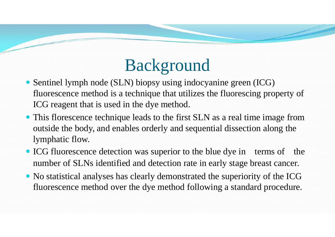# Background

- Sentinel lymph node (SLN) biopsy using indocyanine green (ICG) fluorescence method is a technique that utilizes the fluorescing property of ICG reagent that is used in the dye method. ICG reagent that is used in the dye method.
- This florescence technique leads to the first SLN as a real time image from outside the body, and enables orderly and sequential dissection along the outside the body, and enables orderly and sequential dissection along the lymphatic flow.
- ICG fluorescence detection was superior to the blue dye in terms of the number of SLNs identified and detection rate in early stage breast cancer.
- No statistical analyses has clearly demonstrated the superiority of the ICG fluorescence method over the dye method following a standard procedure. fluorescence method over the dye method following a standard procedure.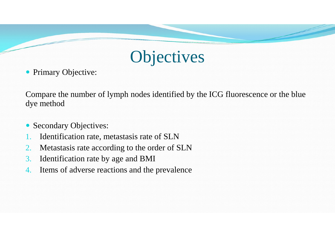### **Objectives**

• Primary Objective:

Compare the number of lymph nodes identified by the ICG fluorescence or the blue dye method

- Secondary Objectives: Secondary Objectives:
- 1. Identification rate, metastasis rate of SLN
- 2. Metastasis rate according to the order of SLN
- 3. Identification rate by age and BMI
- 4. Items of adverse reactions and the prevalence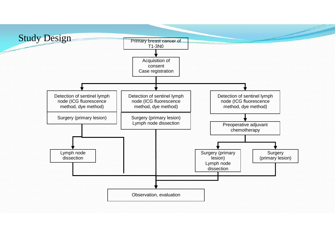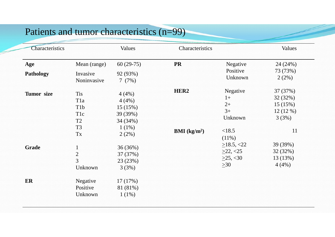#### Patients and tumor characteristics (n=99)

| Characteristics  |                                                                                                                  | Values                                                                 | Characteristics                              |                                                                   | Values                                                    |
|------------------|------------------------------------------------------------------------------------------------------------------|------------------------------------------------------------------------|----------------------------------------------|-------------------------------------------------------------------|-----------------------------------------------------------|
| Age              | Mean (range)                                                                                                     | $60(29-75)$                                                            | <b>PR</b>                                    | Negative                                                          | 24 (24%)                                                  |
| <b>Pathology</b> | Invasive<br>Noninvasive                                                                                          | 92 (93%)<br>7(7%)                                                      |                                              | Positive<br>Unknown                                               | 73 (73%)<br>2(2%)                                         |
| Tumor size       | <b>Tis</b><br>T <sub>1</sub> a<br>T <sub>1</sub> b<br>T <sub>1</sub> c<br>T <sub>2</sub><br>T <sub>3</sub><br>Tx | 4(4%)<br>4(4%)<br>15(15%)<br>39 (39%)<br>34 (34%)<br>$1(1\%)$<br>2(2%) | HER <sub>2</sub><br>BMI (kg/m <sup>2</sup> ) | Negative<br>$1+$<br>$2+$<br>$3+$<br>Unknown<br><18.5<br>$(11\%)$  | 37 (37%)<br>32 (32%)<br>15(15%)<br>12(12%)<br>3(3%)<br>11 |
| <b>Grade</b>     | $\mathbf{1}$<br>$\overline{2}$<br>$\overline{3}$<br>Unknown                                                      | 36 (36%)<br>37 (37%)<br>23 (23%)<br>3(3%)                              |                                              | $\geq$ 18.5, <22<br>$\geq$ 22, <25<br>$\geq$ 25, <30<br>$\geq 30$ | 39 (39%)<br>32(32%)<br>13 (13%)<br>4(4%)                  |
| ER               | Negative<br>Positive<br>Unknown                                                                                  | 17(17%)<br>81 (81%)<br>$1(1\%)$                                        |                                              |                                                                   |                                                           |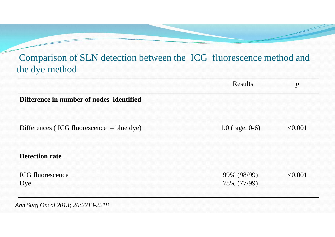#### Comparison of SLN detection between the ICG fluorescence method and the dye method

|                                           | <b>Results</b>             | $\boldsymbol{p}$ |
|-------------------------------------------|----------------------------|------------------|
| Difference in number of nodes identified  |                            |                  |
| Differences (ICG fluorescence – blue dye) | $1.0$ (rage, 0-6)          | < 0.001          |
| <b>Detection rate</b>                     |                            |                  |
| <b>ICG</b> fluorescence<br>Dye            | 99% (98/99)<br>78% (77/99) | < 0.001          |
| Ann Surg Oncol 2013; 20:2213-2218         |                            |                  |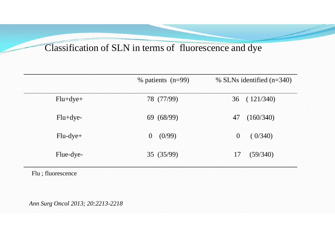#### Classification of SLN in terms of fluorescence and dye

|            | $%$ patients (n=99) | % SLNs identified $(n=340)$ |
|------------|---------------------|-----------------------------|
| $Flu+dye+$ | 78 (77/99)          | 36 (121/340)                |
| $Flu+dye-$ | 69 (68/99)          | 47 (160/340)                |
| $Flu-dye+$ | 0 (0/99)            | 0 (0/340)                   |
| Flue-dye-  | 35(35/99)           | 17(59/340)                  |

Flu ; fluorescence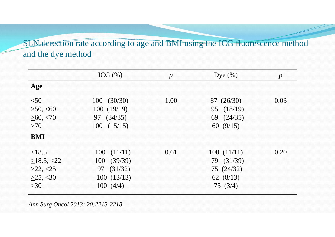SLN detection rate according to age and BMI using the ICG fluorescence method and the dye method

|                  | ICG $(\% )$ | $\boldsymbol{p}$ | Dye $(\% )$  | $\boldsymbol{p}$ |
|------------------|-------------|------------------|--------------|------------------|
| Age              |             |                  |              |                  |
| < 50             | 100(30/30)  | 1.00             | 87 (26/30)   | 0.03             |
| >50, <60         | 100(19/19)  |                  | 95 (18/19)   |                  |
| >60, < 70        | 97 (34/35)  |                  | 69 $(24/35)$ |                  |
| >70              | 100(15/15)  |                  | 60 $(9/15)$  |                  |
| <b>BMI</b>       |             |                  |              |                  |
| < 18.5           | 100(11/11)  | 0.61             | 100(11/11)   | 0.20             |
| $\geq$ 18.5, <22 | 100(39/39)  |                  | 79 (31/39)   |                  |
| >22, <25         | 97 (31/32)  |                  | 75 (24/32)   |                  |
| >25, <30         | 100(13/13)  |                  | 62 $(8/13)$  |                  |
| $>30$            | 100(4/4)    |                  | 75(3/4)      |                  |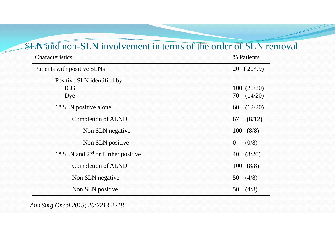#### SLN and non-SLN involvement in terms of the order of SLN removal

| <b>Characteristics</b>                   | % Patients                     |
|------------------------------------------|--------------------------------|
| Patients with positive SLNs              | 20(20/99)                      |
| Positive SLN identified by<br><b>ICG</b> | 100(20/20)                     |
| Dye<br>$1st$ SLN positive alone          | 70<br>(14/20)<br>60<br>(12/20) |
| <b>Completion of ALND</b>                | 67<br>(8/12)                   |
| Non SLN negative                         | 100<br>(8/8)                   |
| Non SLN positive                         | $\overline{0}$<br>(0/8)        |
| $1st$ SLN and $2nd$ or further positive  | 40<br>(8/20)                   |
| <b>Completion of ALND</b>                | (8/8)<br>100                   |
| Non SLN negative                         | 50<br>(4/8)                    |
| Non SLN positive                         | (4/8)<br>50                    |